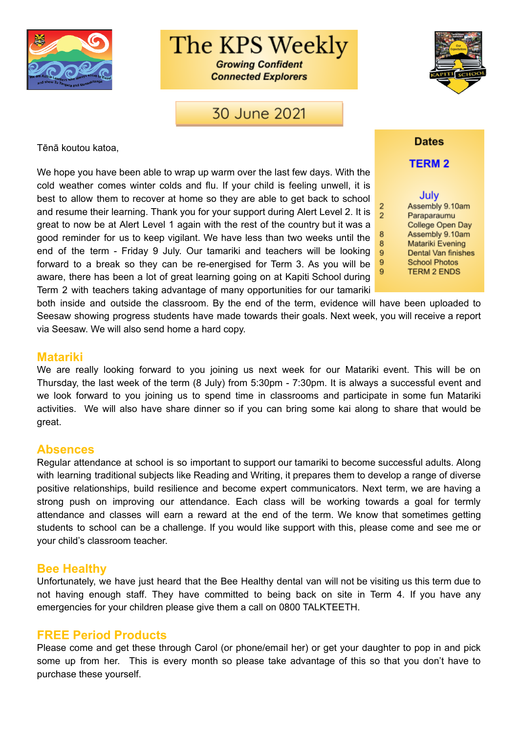

The KPS Weekly

**Growing Confident Connected Explorers** 

30 June 2021



Tēnā koutou katoa,

We hope you have been able to wrap up warm over the last few days. With the cold weather comes winter colds and flu. If your child is feeling unwell, it is best to allow them to recover at home so they are able to get back to school and resume their learning. Thank you for your support during Alert Level 2. It is great to now be at Alert Level 1 again with the rest of the country but it was a good reminder for us to keep vigilant. We have less than two weeks until the end of the term - Friday 9 July. Our tamariki and teachers will be looking forward to a break so they can be re-energised for Term 3. As you will be aware, there has been a lot of great learning going on at Kapiti School during Term 2 with teachers taking advantage of many opportunities for our tamariki

**Dates** 

**TERM 2** 

July Assembly 9.10am Paraparaumu College Open Day Assembly 9.10am Matariki Evening Dental Van finishes **School Photos TERM 2 ENDS** 

 $\overline{2}$ 

8

8

9

9

9

both inside and outside the classroom. By the end of the term, evidence will have been uploaded to Seesaw showing progress students have made towards their goals. Next week, you will receive a report via Seesaw. We will also send home a hard copy.

### **Matariki**

We are really looking forward to you joining us next week for our Matariki event. This will be on Thursday, the last week of the term (8 July) from 5:30pm - 7:30pm. It is always a successful event and we look forward to you joining us to spend time in classrooms and participate in some fun Matariki activities. We will also have share dinner so if you can bring some kai along to share that would be great.

### **Absences**

Regular attendance at school is so important to support our tamariki to become successful adults. Along with learning traditional subjects like Reading and Writing, it prepares them to develop a range of diverse positive relationships, build resilience and become expert communicators. Next term, we are having a strong push on improving our attendance. Each class will be working towards a goal for termly attendance and classes will earn a reward at the end of the term. We know that sometimes getting students to school can be a challenge. If you would like support with this, please come and see me or your child's classroom teacher.

### **Bee Healthy**

Unfortunately, we have just heard that the Bee Healthy dental van will not be visiting us this term due to not having enough staff. They have committed to being back on site in Term 4. If you have any emergencies for your children please give them a call on 0800 TALKTEETH.

### **FREE Period Products**

Please come and get these through Carol (or phone/email her) or get your daughter to pop in and pick some up from her. This is every month so please take advantage of this so that you don't have to purchase these yourself.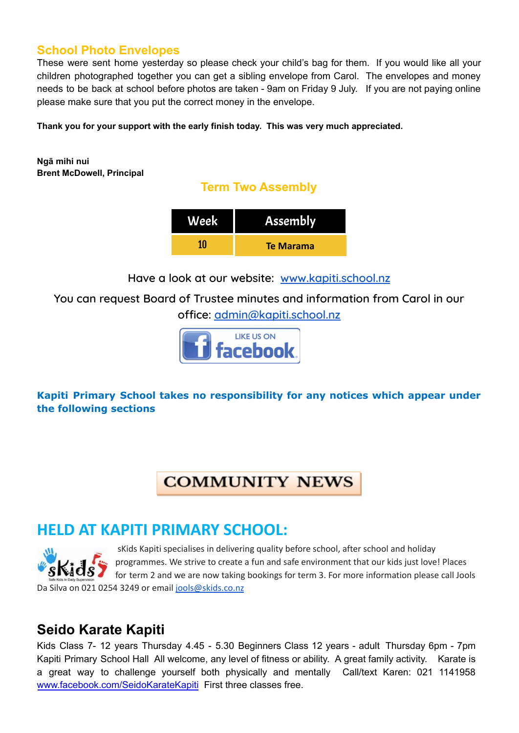### **School Photo Envelopes**

These were sent home yesterday so please check your child's bag for them. If you would like all your children photographed together you can get a sibling envelope from Carol. The envelopes and money needs to be back at school before photos are taken - 9am on Friday 9 July. If you are not paying online please make sure that you put the correct money in the envelope.

**Thank you for your support with the early finish today. This was very much appreciated.**

**Ngā mihi nui Brent McDowell, Principal**

## **Term Two Assembly**

| Week | <b>Assembly</b>  |
|------|------------------|
| 1N   | <b>Te Marama</b> |

**Have a look at our website: [www.kapiti.school.nz](http://www.kapiti.school.nz)**

**You can request Board of Trustee minutes and information from Carol in our office: [admin@kapiti.school.nz](mailto:admin@kapiti.school.mz)**



**Kapiti Primary School takes no responsibility for any notices which appear under the following sections**

# **COMMUNITY NEWS**

# **HELD AT KAPITI PRIMARY SCHOOL:**

sKids Kapiti specialises in delivering quality before school, after school and holiday programmes. We strive to create a fun and safe environment that our kids just love! Places for term 2 and we are now taking bookings for term 3. For more information please call Jools Da Silva on 021 0254 3249 or email [jools@skids.co.nz](mailto:jools@skids.co.nz)

# **Seido Karate Kapiti**

Kids Class 7- 12 years Thursday 4.45 - 5.30 Beginners Class 12 years - adult Thursday 6pm - 7pm Kapiti Primary School Hall All welcome, any level of fitness or ability. A great family activity. Karate is a great way to challenge yourself both physically and mentally Call/text Karen: 021 1141958 [www.facebook.com/SeidoKarateKapiti](http://www.facebook.com/SeidoKarateKapiti) First three classes free.